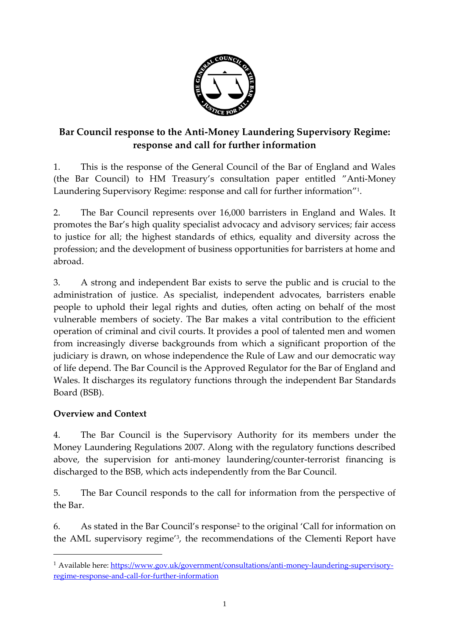

# **Bar Council response to the Anti-Money Laundering Supervisory Regime: response and call for further information**

1. This is the response of the General Council of the Bar of England and Wales (the Bar Council) to HM Treasury's consultation paper entitled "Anti-Money Laundering Supervisory Regime: response and call for further information" 1 .

2. The Bar Council represents over 16,000 barristers in England and Wales. It promotes the Bar's high quality specialist advocacy and advisory services; fair access to justice for all; the highest standards of ethics, equality and diversity across the profession; and the development of business opportunities for barristers at home and abroad.

3. A strong and independent Bar exists to serve the public and is crucial to the administration of justice. As specialist, independent advocates, barristers enable people to uphold their legal rights and duties, often acting on behalf of the most vulnerable members of society. The Bar makes a vital contribution to the efficient operation of criminal and civil courts. It provides a pool of talented men and women from increasingly diverse backgrounds from which a significant proportion of the judiciary is drawn, on whose independence the Rule of Law and our democratic way of life depend. The Bar Council is the Approved Regulator for the Bar of England and Wales. It discharges its regulatory functions through the independent Bar Standards Board (BSB).

#### **Overview and Context**

 $\overline{a}$ 

4. The Bar Council is the Supervisory Authority for its members under the Money Laundering Regulations 2007. Along with the regulatory functions described above, the supervision for anti-money laundering/counter-terrorist financing is discharged to the BSB, which acts independently from the Bar Council.

5. The Bar Council responds to the call for information from the perspective of the Bar.

6. As stated in the Bar Council's response<sup>2</sup> to the original 'Call for information on the AML supervisory regime'<sup>3</sup> , the recommendations of the Clementi Report have

<sup>&</sup>lt;sup>1</sup> Available here[: https://www.gov.uk/government/consultations/anti-money-laundering-supervisory](https://www.gov.uk/government/consultations/anti-money-laundering-supervisory-regime-response-and-call-for-further-information)[regime-response-and-call-for-further-information](https://www.gov.uk/government/consultations/anti-money-laundering-supervisory-regime-response-and-call-for-further-information)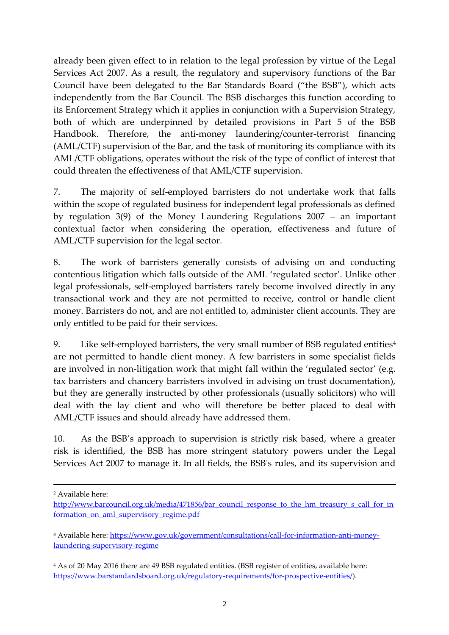already been given effect to in relation to the legal profession by virtue of the Legal Services Act 2007. As a result, the regulatory and supervisory functions of the Bar Council have been delegated to the Bar Standards Board ("the BSB"), which acts independently from the Bar Council. The BSB discharges this function according to its Enforcement Strategy which it applies in conjunction with a Supervision Strategy, both of which are underpinned by detailed provisions in Part 5 of the BSB Handbook. Therefore, the anti-money laundering/counter-terrorist financing (AML/CTF) supervision of the Bar, and the task of monitoring its compliance with its AML/CTF obligations, operates without the risk of the type of conflict of interest that could threaten the effectiveness of that AML/CTF supervision.

7. The majority of self-employed barristers do not undertake work that falls within the scope of regulated business for independent legal professionals as defined by regulation 3(9) of the Money Laundering Regulations 2007 – an important contextual factor when considering the operation, effectiveness and future of AML/CTF supervision for the legal sector.

8. The work of barristers generally consists of advising on and conducting contentious litigation which falls outside of the AML 'regulated sector'. Unlike other legal professionals, self-employed barristers rarely become involved directly in any transactional work and they are not permitted to receive, control or handle client money. Barristers do not, and are not entitled to, administer client accounts. They are only entitled to be paid for their services.

9. Like self-employed barristers, the very small number of BSB regulated entities<sup>4</sup> are not permitted to handle client money. A few barristers in some specialist fields are involved in non-litigation work that might fall within the 'regulated sector' (e.g. tax barristers and chancery barristers involved in advising on trust documentation), but they are generally instructed by other professionals (usually solicitors) who will deal with the lay client and who will therefore be better placed to deal with AML/CTF issues and should already have addressed them.

10. As the BSB's approach to supervision is strictly risk based, where a greater risk is identified, the BSB has more stringent statutory powers under the Legal Services Act 2007 to manage it. In all fields, the BSB's rules, and its supervision and

 $\overline{a}$ 

<sup>4</sup> As of 20 May 2016 there are 49 BSB regulated entities. (BSB register of entities, available here: https://www.barstandardsboard.org.uk/regulatory-requirements/for-prospective-entities/).

<sup>2</sup> Available here:

[http://www.barcouncil.org.uk/media/471856/bar\\_council\\_response\\_to\\_the\\_hm\\_treasury\\_s\\_call\\_for\\_in](http://www.barcouncil.org.uk/media/471856/bar_council_response_to_the_hm_treasury_s_call_for_information_on_aml_supervisory_regime.pdf) formation on aml supervisory regime.pdf

<sup>&</sup>lt;sup>3</sup> Available here[: https://www.gov.uk/government/consultations/call-for-information-anti-money](https://www.gov.uk/government/consultations/call-for-information-anti-money-laundering-supervisory-regime)[laundering-supervisory-regime](https://www.gov.uk/government/consultations/call-for-information-anti-money-laundering-supervisory-regime)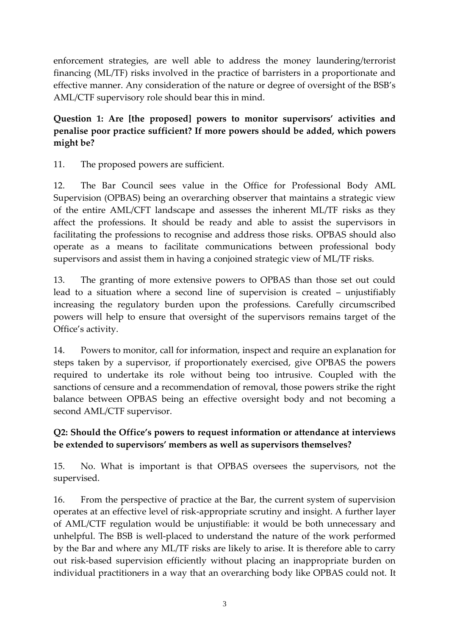enforcement strategies, are well able to address the money laundering/terrorist financing (ML/TF) risks involved in the practice of barristers in a proportionate and effective manner. Any consideration of the nature or degree of oversight of the BSB's AML/CTF supervisory role should bear this in mind.

### **Question 1: Are [the proposed] powers to monitor supervisors' activities and penalise poor practice sufficient? If more powers should be added, which powers might be?**

11. The proposed powers are sufficient.

12. The Bar Council sees value in the Office for Professional Body AML Supervision (OPBAS) being an overarching observer that maintains a strategic view of the entire AML/CFT landscape and assesses the inherent ML/TF risks as they affect the professions. It should be ready and able to assist the supervisors in facilitating the professions to recognise and address those risks. OPBAS should also operate as a means to facilitate communications between professional body supervisors and assist them in having a conjoined strategic view of ML/TF risks.

13. The granting of more extensive powers to OPBAS than those set out could lead to a situation where a second line of supervision is created – unjustifiably increasing the regulatory burden upon the professions. Carefully circumscribed powers will help to ensure that oversight of the supervisors remains target of the Office's activity.

14. Powers to monitor, call for information, inspect and require an explanation for steps taken by a supervisor, if proportionately exercised, give OPBAS the powers required to undertake its role without being too intrusive. Coupled with the sanctions of censure and a recommendation of removal, those powers strike the right balance between OPBAS being an effective oversight body and not becoming a second AML/CTF supervisor.

## **Q2: Should the Office's powers to request information or attendance at interviews be extended to supervisors' members as well as supervisors themselves?**

15. No. What is important is that OPBAS oversees the supervisors, not the supervised.

16. From the perspective of practice at the Bar, the current system of supervision operates at an effective level of risk-appropriate scrutiny and insight. A further layer of AML/CTF regulation would be unjustifiable: it would be both unnecessary and unhelpful. The BSB is well-placed to understand the nature of the work performed by the Bar and where any ML/TF risks are likely to arise. It is therefore able to carry out risk-based supervision efficiently without placing an inappropriate burden on individual practitioners in a way that an overarching body like OPBAS could not. It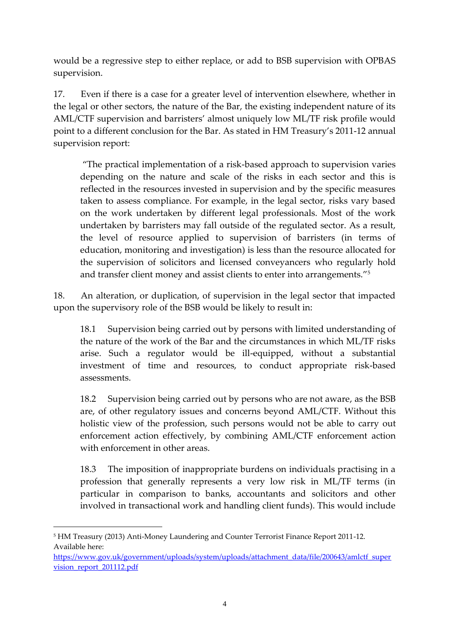would be a regressive step to either replace, or add to BSB supervision with OPBAS supervision.

17. Even if there is a case for a greater level of intervention elsewhere, whether in the legal or other sectors, the nature of the Bar, the existing independent nature of its AML/CTF supervision and barristers' almost uniquely low ML/TF risk profile would point to a different conclusion for the Bar. As stated in HM Treasury's 2011-12 annual supervision report:

"The practical implementation of a risk-based approach to supervision varies depending on the nature and scale of the risks in each sector and this is reflected in the resources invested in supervision and by the specific measures taken to assess compliance. For example, in the legal sector, risks vary based on the work undertaken by different legal professionals. Most of the work undertaken by barristers may fall outside of the regulated sector. As a result, the level of resource applied to supervision of barristers (in terms of education, monitoring and investigation) is less than the resource allocated for the supervision of solicitors and licensed conveyancers who regularly hold and transfer client money and assist clients to enter into arrangements."<sup>5</sup>

18. An alteration, or duplication, of supervision in the legal sector that impacted upon the supervisory role of the BSB would be likely to result in:

18.1 Supervision being carried out by persons with limited understanding of the nature of the work of the Bar and the circumstances in which ML/TF risks arise. Such a regulator would be ill-equipped, without a substantial investment of time and resources, to conduct appropriate risk-based assessments.

18.2 Supervision being carried out by persons who are not aware, as the BSB are, of other regulatory issues and concerns beyond AML/CTF. Without this holistic view of the profession, such persons would not be able to carry out enforcement action effectively, by combining AML/CTF enforcement action with enforcement in other areas.

18.3 The imposition of inappropriate burdens on individuals practising in a profession that generally represents a very low risk in ML/TF terms (in particular in comparison to banks, accountants and solicitors and other involved in transactional work and handling client funds). This would include

 $\overline{a}$ <sup>5</sup> HM Treasury (2013) Anti-Money Laundering and Counter Terrorist Finance Report 2011-12. Available here:

https://www.gov.uk/government/uploads/system/uploads/attachment\_data/file/200643/amlctf\_super vision\_report\_201112.pdf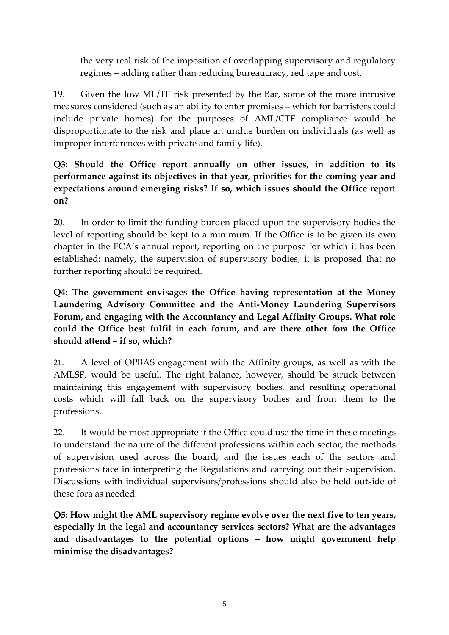the very real risk of the imposition of overlapping supervisory and regulatory regimes – adding rather than reducing bureaucracy, red tape and cost.

19. Given the low ML/TF risk presented by the Bar, some of the more intrusive measures considered (such as an ability to enter premises – which for barristers could include private homes) for the purposes of AML/CTF compliance would be disproportionate to the risk and place an undue burden on individuals (as well as improper interferences with private and family life).

### **Q3: Should the Office report annually on other issues, in addition to its performance against its objectives in that year, priorities for the coming year and expectations around emerging risks? If so, which issues should the Office report on?**

20. In order to limit the funding burden placed upon the supervisory bodies the level of reporting should be kept to a minimum. If the Office is to be given its own chapter in the FCA's annual report, reporting on the purpose for which it has been established: namely, the supervision of supervisory bodies, it is proposed that no further reporting should be required.

### **Q4: The government envisages the Office having representation at the Money Laundering Advisory Committee and the Anti-Money Laundering Supervisors Forum, and engaging with the Accountancy and Legal Affinity Groups. What role could the Office best fulfil in each forum, and are there other fora the Office should attend – if so, which?**

21. A level of OPBAS engagement with the Affinity groups, as well as with the AMLSF, would be useful. The right balance, however, should be struck between maintaining this engagement with supervisory bodies, and resulting operational costs which will fall back on the supervisory bodies and from them to the professions.

22. It would be most appropriate if the Office could use the time in these meetings to understand the nature of the different professions within each sector, the methods of supervision used across the board, and the issues each of the sectors and professions face in interpreting the Regulations and carrying out their supervision. Discussions with individual supervisors/professions should also be held outside of these fora as needed.

**Q5: How might the AML supervisory regime evolve over the next five to ten years, especially in the legal and accountancy services sectors? What are the advantages and disadvantages to the potential options – how might government help minimise the disadvantages?**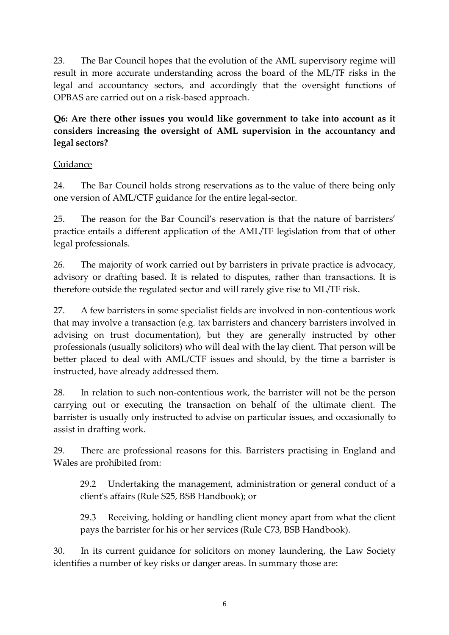23. The Bar Council hopes that the evolution of the AML supervisory regime will result in more accurate understanding across the board of the ML/TF risks in the legal and accountancy sectors, and accordingly that the oversight functions of OPBAS are carried out on a risk-based approach.

**Q6: Are there other issues you would like government to take into account as it considers increasing the oversight of AML supervision in the accountancy and legal sectors?**

#### Guidance

24. The Bar Council holds strong reservations as to the value of there being only one version of AML/CTF guidance for the entire legal-sector.

25. The reason for the Bar Council's reservation is that the nature of barristers' practice entails a different application of the AML/TF legislation from that of other legal professionals.

26. The majority of work carried out by barristers in private practice is advocacy, advisory or drafting based. It is related to disputes, rather than transactions. It is therefore outside the regulated sector and will rarely give rise to ML/TF risk.

27. A few barristers in some specialist fields are involved in non-contentious work that may involve a transaction (e.g. tax barristers and chancery barristers involved in advising on trust documentation), but they are generally instructed by other professionals (usually solicitors) who will deal with the lay client. That person will be better placed to deal with AML/CTF issues and should, by the time a barrister is instructed, have already addressed them.

28. In relation to such non-contentious work, the barrister will not be the person carrying out or executing the transaction on behalf of the ultimate client. The barrister is usually only instructed to advise on particular issues, and occasionally to assist in drafting work.

29. There are professional reasons for this. Barristers practising in England and Wales are prohibited from:

29.2 Undertaking the management, administration or general conduct of a client's affairs (Rule S25, BSB Handbook); or

29.3 Receiving, holding or handling client money apart from what the client pays the barrister for his or her services (Rule C73, BSB Handbook).

30. In its current guidance for solicitors on money laundering, the Law Society identifies a number of key risks or danger areas. In summary those are: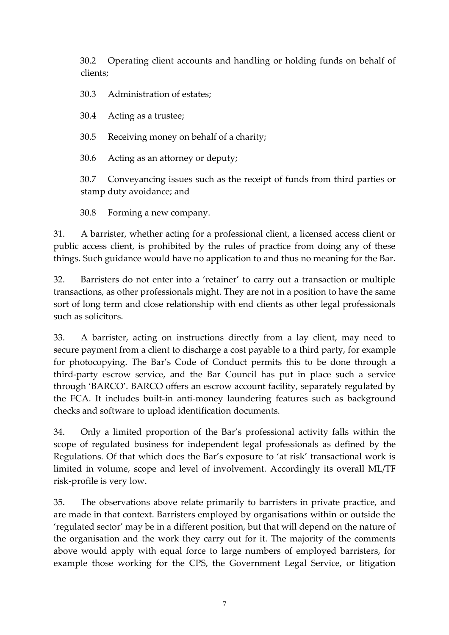30.2 Operating client accounts and handling or holding funds on behalf of clients;

30.3 Administration of estates;

30.4 Acting as a trustee;

30.5 Receiving money on behalf of a charity;

30.6 Acting as an attorney or deputy;

30.7 Conveyancing issues such as the receipt of funds from third parties or stamp duty avoidance; and

30.8 Forming a new company.

31. A barrister, whether acting for a professional client, a licensed access client or public access client, is prohibited by the rules of practice from doing any of these things. Such guidance would have no application to and thus no meaning for the Bar.

32. Barristers do not enter into a 'retainer' to carry out a transaction or multiple transactions, as other professionals might. They are not in a position to have the same sort of long term and close relationship with end clients as other legal professionals such as solicitors.

33. A barrister, acting on instructions directly from a lay client, may need to secure payment from a client to discharge a cost payable to a third party, for example for photocopying. The Bar's Code of Conduct permits this to be done through a third-party escrow service, and the Bar Council has put in place such a service through 'BARCO'. BARCO offers an escrow account facility, separately regulated by the FCA. It includes built-in anti-money laundering features such as background checks and software to upload identification documents.

34. Only a limited proportion of the Bar's professional activity falls within the scope of regulated business for independent legal professionals as defined by the Regulations. Of that which does the Bar's exposure to 'at risk' transactional work is limited in volume, scope and level of involvement. Accordingly its overall ML/TF risk-profile is very low.

35. The observations above relate primarily to barristers in private practice, and are made in that context. Barristers employed by organisations within or outside the 'regulated sector' may be in a different position, but that will depend on the nature of the organisation and the work they carry out for it. The majority of the comments above would apply with equal force to large numbers of employed barristers, for example those working for the CPS, the Government Legal Service, or litigation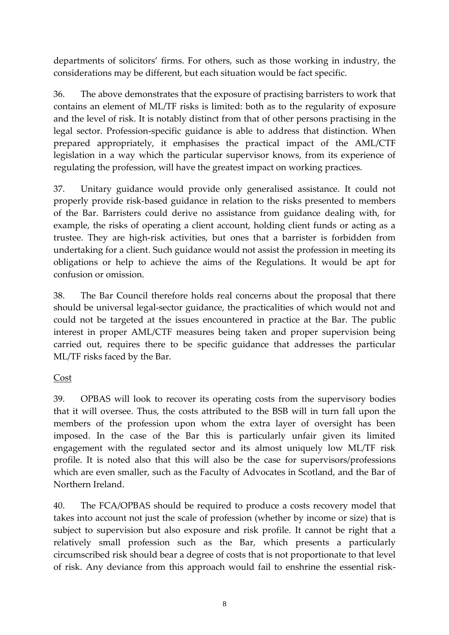departments of solicitors' firms. For others, such as those working in industry, the considerations may be different, but each situation would be fact specific.

36. The above demonstrates that the exposure of practising barristers to work that contains an element of ML/TF risks is limited: both as to the regularity of exposure and the level of risk. It is notably distinct from that of other persons practising in the legal sector. Profession-specific guidance is able to address that distinction. When prepared appropriately, it emphasises the practical impact of the AML/CTF legislation in a way which the particular supervisor knows, from its experience of regulating the profession, will have the greatest impact on working practices.

37. Unitary guidance would provide only generalised assistance. It could not properly provide risk-based guidance in relation to the risks presented to members of the Bar. Barristers could derive no assistance from guidance dealing with, for example, the risks of operating a client account, holding client funds or acting as a trustee. They are high-risk activities, but ones that a barrister is forbidden from undertaking for a client. Such guidance would not assist the profession in meeting its obligations or help to achieve the aims of the Regulations. It would be apt for confusion or omission.

38. The Bar Council therefore holds real concerns about the proposal that there should be universal legal-sector guidance, the practicalities of which would not and could not be targeted at the issues encountered in practice at the Bar. The public interest in proper AML/CTF measures being taken and proper supervision being carried out, requires there to be specific guidance that addresses the particular ML/TF risks faced by the Bar.

#### Cost

39. OPBAS will look to recover its operating costs from the supervisory bodies that it will oversee. Thus, the costs attributed to the BSB will in turn fall upon the members of the profession upon whom the extra layer of oversight has been imposed. In the case of the Bar this is particularly unfair given its limited engagement with the regulated sector and its almost uniquely low ML/TF risk profile. It is noted also that this will also be the case for supervisors/professions which are even smaller, such as the Faculty of Advocates in Scotland, and the Bar of Northern Ireland.

40. The FCA/OPBAS should be required to produce a costs recovery model that takes into account not just the scale of profession (whether by income or size) that is subject to supervision but also exposure and risk profile. It cannot be right that a relatively small profession such as the Bar, which presents a particularly circumscribed risk should bear a degree of costs that is not proportionate to that level of risk. Any deviance from this approach would fail to enshrine the essential risk